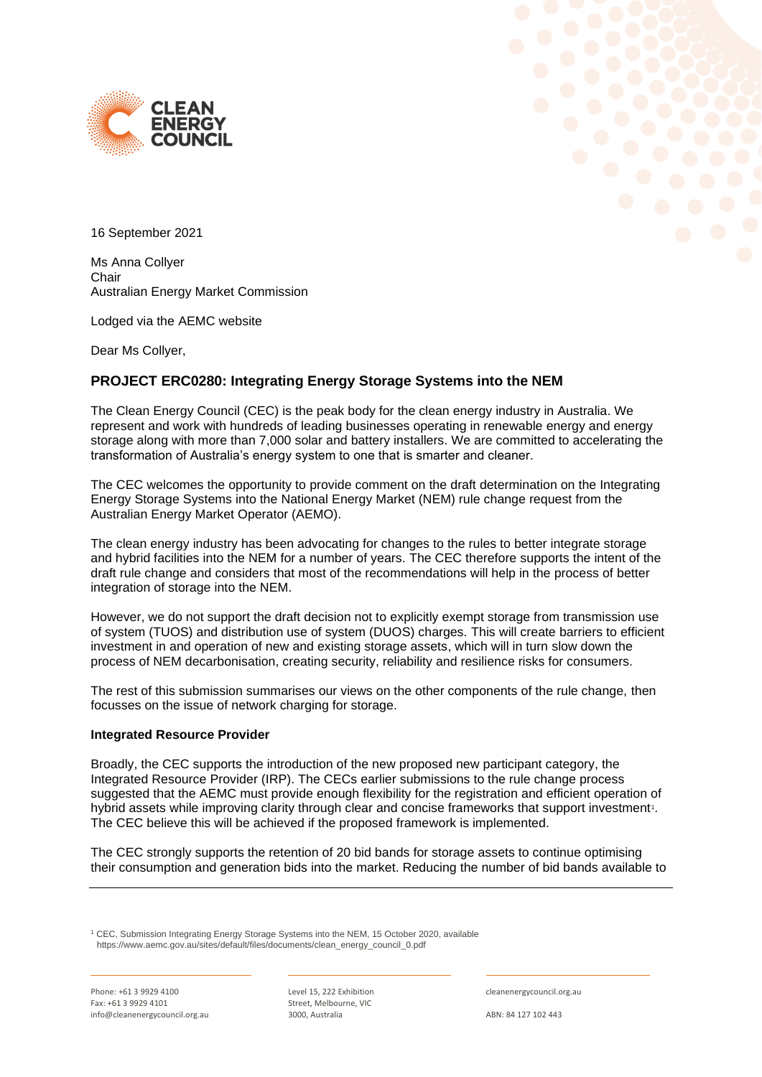



16 September 2021

Ms Anna Collyer **Chair** Australian Energy Market Commission

Lodged via the AEMC website

Dear Ms Collyer,

# **PROJECT ERC0280: Integrating Energy Storage Systems into the NEM**

The Clean Energy Council (CEC) is the peak body for the clean energy industry in Australia. We represent and work with hundreds of leading businesses operating in renewable energy and energy storage along with more than 7,000 solar and battery installers. We are committed to accelerating the transformation of Australia's energy system to one that is smarter and cleaner.

The CEC welcomes the opportunity to provide comment on the draft determination on the Integrating Energy Storage Systems into the National Energy Market (NEM) rule change request from the Australian Energy Market Operator (AEMO).

The clean energy industry has been advocating for changes to the rules to better integrate storage and hybrid facilities into the NEM for a number of years. The CEC therefore supports the intent of the draft rule change and considers that most of the recommendations will help in the process of better integration of storage into the NEM.

However, we do not support the draft decision not to explicitly exempt storage from transmission use of system (TUOS) and distribution use of system (DUOS) charges. This will create barriers to efficient investment in and operation of new and existing storage assets, which will in turn slow down the process of NEM decarbonisation, creating security, reliability and resilience risks for consumers.

The rest of this submission summarises our views on the other components of the rule change, then focusses on the issue of network charging for storage.

## **Integrated Resource Provider**

Broadly, the CEC supports the introduction of the new proposed new participant category, the Integrated Resource Provider (IRP). The CECs earlier submissions to the rule change process suggested that the AEMC must provide enough flexibility for the registration and efficient operation of hybrid assets while improving clarity through clear and concise frameworks that support investment<sup>1</sup>. The CEC believe this will be achieved if the proposed framework is implemented.

The CEC strongly supports the retention of 20 bid bands for storage assets to continue optimising their consumption and generation bids into the market. Reducing the number of bid bands available to

<sup>1</sup> CEC, Submission Integrating Energy Storage Systems into the NEM, 15 October 2020, available https://www.aemc.gov.au/sites/default/files/documents/clean\_energy\_council\_0.pdf

Phone: +61 3 9929 4100 Fax: +61 3 9929 4101 info@cleanenergycouncil.org.au Level 15, 222 Exhibition Street, Melbourne, VIC 3000, Australia

cleanenergycouncil.org.au

ABN: 84 127 102 443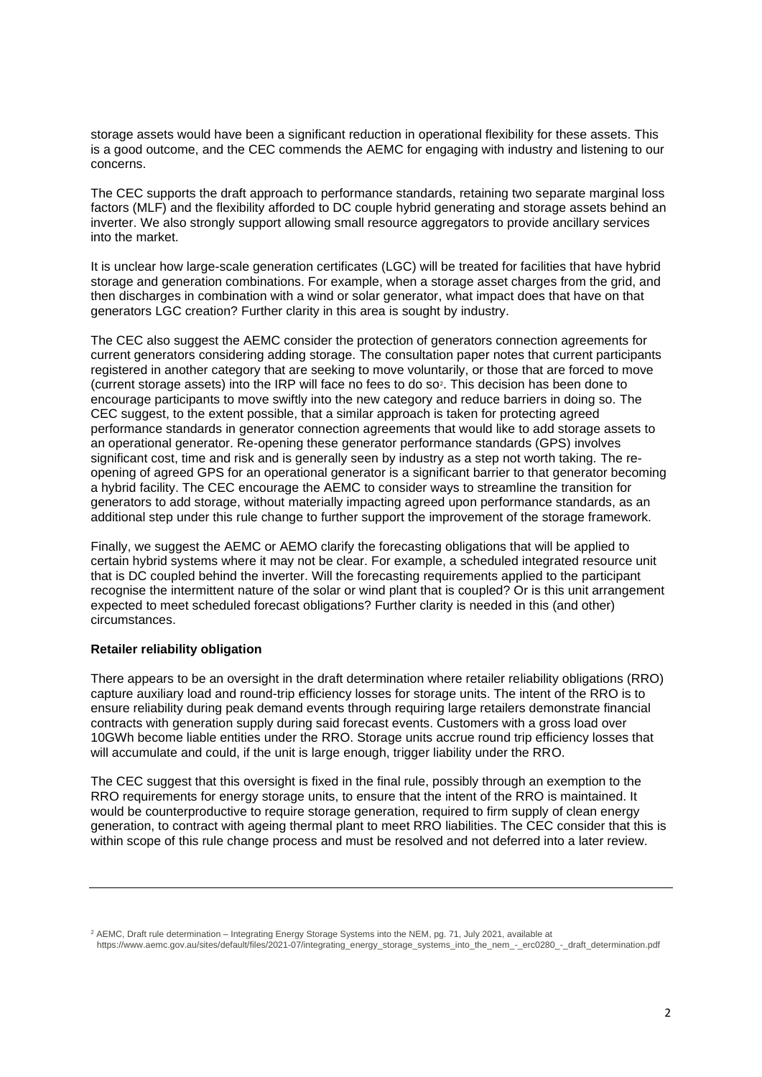storage assets would have been a significant reduction in operational flexibility for these assets. This is a good outcome, and the CEC commends the AEMC for engaging with industry and listening to our concerns.

The CEC supports the draft approach to performance standards, retaining two separate marginal loss factors (MLF) and the flexibility afforded to DC couple hybrid generating and storage assets behind an inverter. We also strongly support allowing small resource aggregators to provide ancillary services into the market.

It is unclear how large-scale generation certificates (LGC) will be treated for facilities that have hybrid storage and generation combinations. For example, when a storage asset charges from the grid, and then discharges in combination with a wind or solar generator, what impact does that have on that generators LGC creation? Further clarity in this area is sought by industry.

The CEC also suggest the AEMC consider the protection of generators connection agreements for current generators considering adding storage. The consultation paper notes that current participants registered in another category that are seeking to move voluntarily, or those that are forced to move (current storage assets) into the IRP will face no fees to do so<sup>2</sup> . This decision has been done to encourage participants to move swiftly into the new category and reduce barriers in doing so. The CEC suggest, to the extent possible, that a similar approach is taken for protecting agreed performance standards in generator connection agreements that would like to add storage assets to an operational generator. Re-opening these generator performance standards (GPS) involves significant cost, time and risk and is generally seen by industry as a step not worth taking. The reopening of agreed GPS for an operational generator is a significant barrier to that generator becoming a hybrid facility. The CEC encourage the AEMC to consider ways to streamline the transition for generators to add storage, without materially impacting agreed upon performance standards, as an additional step under this rule change to further support the improvement of the storage framework.

Finally, we suggest the AEMC or AEMO clarify the forecasting obligations that will be applied to certain hybrid systems where it may not be clear. For example, a scheduled integrated resource unit that is DC coupled behind the inverter. Will the forecasting requirements applied to the participant recognise the intermittent nature of the solar or wind plant that is coupled? Or is this unit arrangement expected to meet scheduled forecast obligations? Further clarity is needed in this (and other) circumstances.

## **Retailer reliability obligation**

There appears to be an oversight in the draft determination where retailer reliability obligations (RRO) capture auxiliary load and round-trip efficiency losses for storage units. The intent of the RRO is to ensure reliability during peak demand events through requiring large retailers demonstrate financial contracts with generation supply during said forecast events. Customers with a gross load over 10GWh become liable entities under the RRO. Storage units accrue round trip efficiency losses that will accumulate and could, if the unit is large enough, trigger liability under the RRO.

The CEC suggest that this oversight is fixed in the final rule, possibly through an exemption to the RRO requirements for energy storage units, to ensure that the intent of the RRO is maintained. It would be counterproductive to require storage generation, required to firm supply of clean energy generation, to contract with ageing thermal plant to meet RRO liabilities. The CEC consider that this is within scope of this rule change process and must be resolved and not deferred into a later review.

https://www.aemc.gov.au/sites/default/files/2021-07/integrating\_energy\_storage\_systems\_into\_the\_nem\_-\_erc0280\_-\_draft\_determination.pdf

<sup>2</sup> AEMC, Draft rule determination – Integrating Energy Storage Systems into the NEM, pg. 71, July 2021, available at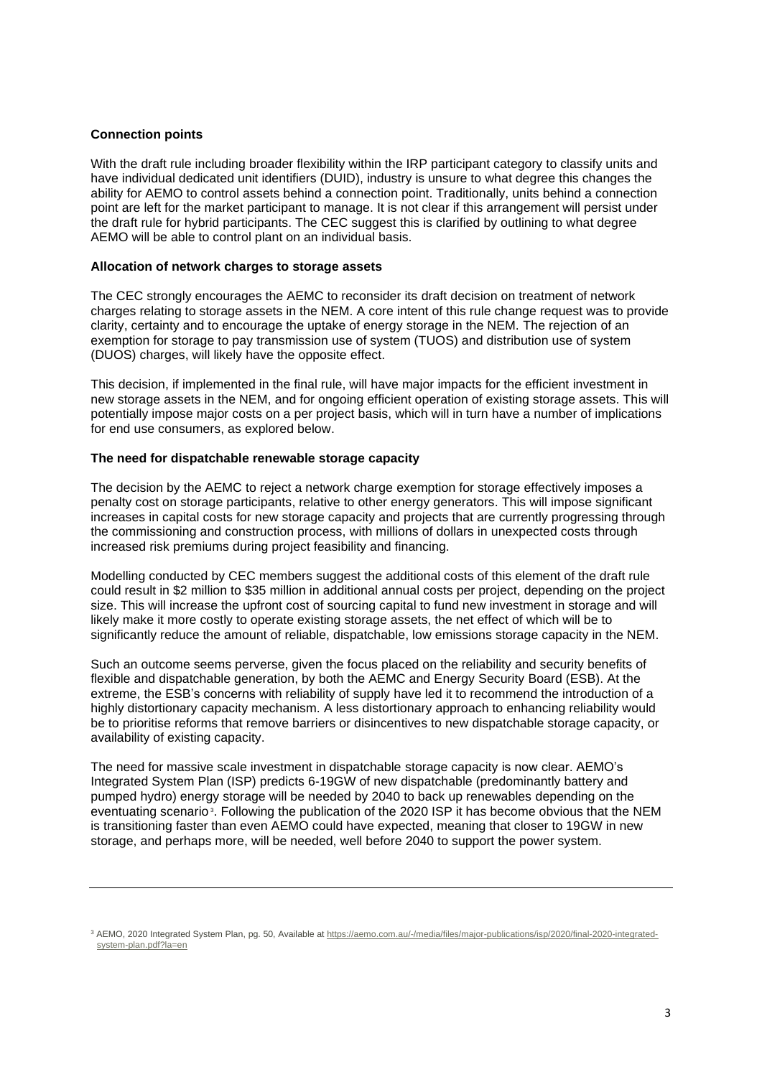## **Connection points**

With the draft rule including broader flexibility within the IRP participant category to classify units and have individual dedicated unit identifiers (DUID), industry is unsure to what degree this changes the ability for AEMO to control assets behind a connection point. Traditionally, units behind a connection point are left for the market participant to manage. It is not clear if this arrangement will persist under the draft rule for hybrid participants. The CEC suggest this is clarified by outlining to what degree AEMO will be able to control plant on an individual basis.

## **Allocation of network charges to storage assets**

The CEC strongly encourages the AEMC to reconsider its draft decision on treatment of network charges relating to storage assets in the NEM. A core intent of this rule change request was to provide clarity, certainty and to encourage the uptake of energy storage in the NEM. The rejection of an exemption for storage to pay transmission use of system (TUOS) and distribution use of system (DUOS) charges, will likely have the opposite effect.

This decision, if implemented in the final rule, will have major impacts for the efficient investment in new storage assets in the NEM, and for ongoing efficient operation of existing storage assets. This will potentially impose major costs on a per project basis, which will in turn have a number of implications for end use consumers, as explored below.

## **The need for dispatchable renewable storage capacity**

The decision by the AEMC to reject a network charge exemption for storage effectively imposes a penalty cost on storage participants, relative to other energy generators. This will impose significant increases in capital costs for new storage capacity and projects that are currently progressing through the commissioning and construction process, with millions of dollars in unexpected costs through increased risk premiums during project feasibility and financing.

Modelling conducted by CEC members suggest the additional costs of this element of the draft rule could result in \$2 million to \$35 million in additional annual costs per project, depending on the project size. This will increase the upfront cost of sourcing capital to fund new investment in storage and will likely make it more costly to operate existing storage assets, the net effect of which will be to significantly reduce the amount of reliable, dispatchable, low emissions storage capacity in the NEM.

Such an outcome seems perverse, given the focus placed on the reliability and security benefits of flexible and dispatchable generation, by both the AEMC and Energy Security Board (ESB). At the extreme, the ESB's concerns with reliability of supply have led it to recommend the introduction of a highly distortionary capacity mechanism. A less distortionary approach to enhancing reliability would be to prioritise reforms that remove barriers or disincentives to new dispatchable storage capacity, or availability of existing capacity.

The need for massive scale investment in dispatchable storage capacity is now clear. AEMO's Integrated System Plan (ISP) predicts 6-19GW of new dispatchable (predominantly battery and pumped hydro) energy storage will be needed by 2040 to back up renewables depending on the eventuating scenario<sup>3</sup>. Following the publication of the 2020 ISP it has become obvious that the NEM is transitioning faster than even AEMO could have expected, meaning that closer to 19GW in new storage, and perhaps more, will be needed, well before 2040 to support the power system.

<sup>&</sup>lt;sup>3</sup> AEMO, 2020 Integrated System Plan, pg. 50, Available a[t https://aemo.com.au/-/media/files/major-publications/isp/2020/final-2020-integrated](https://aemo.com.au/-/media/files/major-publications/isp/2020/final-2020-integrated-system-plan.pdf?la=en)[system-plan.pdf?la=en](https://aemo.com.au/-/media/files/major-publications/isp/2020/final-2020-integrated-system-plan.pdf?la=en)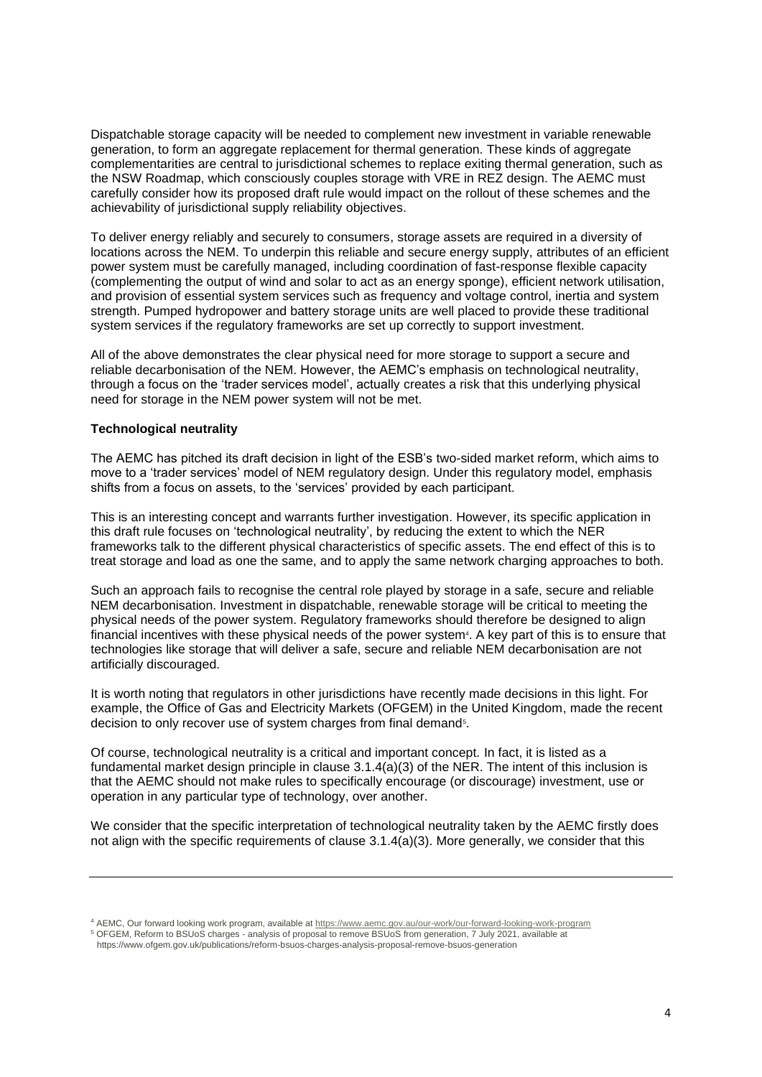Dispatchable storage capacity will be needed to complement new investment in variable renewable generation, to form an aggregate replacement for thermal generation. These kinds of aggregate complementarities are central to jurisdictional schemes to replace exiting thermal generation, such as the NSW Roadmap, which consciously couples storage with VRE in REZ design. The AEMC must carefully consider how its proposed draft rule would impact on the rollout of these schemes and the achievability of jurisdictional supply reliability objectives.

To deliver energy reliably and securely to consumers, storage assets are required in a diversity of locations across the NEM. To underpin this reliable and secure energy supply, attributes of an efficient power system must be carefully managed, including coordination of fast-response flexible capacity (complementing the output of wind and solar to act as an energy sponge), efficient network utilisation, and provision of essential system services such as frequency and voltage control, inertia and system strength. Pumped hydropower and battery storage units are well placed to provide these traditional system services if the regulatory frameworks are set up correctly to support investment.

All of the above demonstrates the clear physical need for more storage to support a secure and reliable decarbonisation of the NEM. However, the AEMC's emphasis on technological neutrality, through a focus on the 'trader services model', actually creates a risk that this underlying physical need for storage in the NEM power system will not be met.

## **Technological neutrality**

The AEMC has pitched its draft decision in light of the ESB's two-sided market reform, which aims to move to a 'trader services' model of NEM regulatory design. Under this regulatory model, emphasis shifts from a focus on assets, to the 'services' provided by each participant.

This is an interesting concept and warrants further investigation. However, its specific application in this draft rule focuses on 'technological neutrality', by reducing the extent to which the NER frameworks talk to the different physical characteristics of specific assets. The end effect of this is to treat storage and load as one the same, and to apply the same network charging approaches to both.

Such an approach fails to recognise the central role played by storage in a safe, secure and reliable NEM decarbonisation. Investment in dispatchable, renewable storage will be critical to meeting the physical needs of the power system. Regulatory frameworks should therefore be designed to align financial incentives with these physical needs of the power system<sup>4</sup>. A key part of this is to ensure that technologies like storage that will deliver a safe, secure and reliable NEM decarbonisation are not artificially discouraged.

It is worth noting that regulators in other jurisdictions have recently made decisions in this light. For example, the Office of Gas and Electricity Markets (OFGEM) in the United Kingdom, made the recent decision to only recover use of system charges from final demand<sup>5</sup>.

Of course, technological neutrality is a critical and important concept. In fact, it is listed as a fundamental market design principle in clause 3.1.4(a)(3) of the NER. The intent of this inclusion is that the AEMC should not make rules to specifically encourage (or discourage) investment, use or operation in any particular type of technology, over another.

We consider that the specific interpretation of technological neutrality taken by the AEMC firstly does not align with the specific requirements of clause 3.1.4(a)(3). More generally, we consider that this

<sup>4</sup> AEMC, Our forward looking work program, available a[t https://www.aemc.gov.au/our-work/our-forward-looking-work-program](https://www.aemc.gov.au/our-work/our-forward-looking-work-program)

<sup>5</sup> OFGEM, Reform to BSUoS charges - analysis of proposal to remove BSUoS from generation, 7 July 2021, available at https://www.ofgem.gov.uk/publications/reform-bsuos-charges-analysis-proposal-remove-bsuos-generation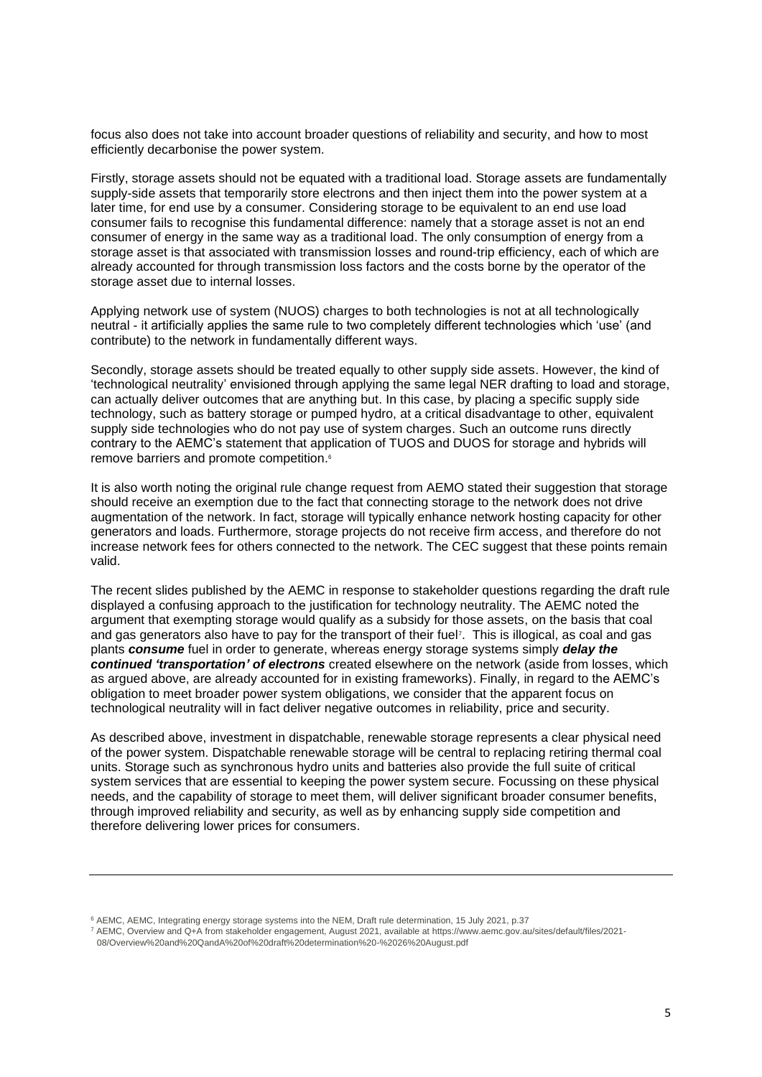focus also does not take into account broader questions of reliability and security, and how to most efficiently decarbonise the power system.

Firstly, storage assets should not be equated with a traditional load. Storage assets are fundamentally supply-side assets that temporarily store electrons and then inject them into the power system at a later time, for end use by a consumer. Considering storage to be equivalent to an end use load consumer fails to recognise this fundamental difference: namely that a storage asset is not an end consumer of energy in the same way as a traditional load. The only consumption of energy from a storage asset is that associated with transmission losses and round-trip efficiency, each of which are already accounted for through transmission loss factors and the costs borne by the operator of the storage asset due to internal losses.

Applying network use of system (NUOS) charges to both technologies is not at all technologically neutral - it artificially applies the same rule to two completely different technologies which 'use' (and contribute) to the network in fundamentally different ways.

Secondly, storage assets should be treated equally to other supply side assets. However, the kind of 'technological neutrality' envisioned through applying the same legal NER drafting to load and storage, can actually deliver outcomes that are anything but. In this case, by placing a specific supply side technology, such as battery storage or pumped hydro, at a critical disadvantage to other, equivalent supply side technologies who do not pay use of system charges. Such an outcome runs directly contrary to the AEMC's statement that application of TUOS and DUOS for storage and hybrids will remove barriers and promote competition. 6

It is also worth noting the original rule change request from AEMO stated their suggestion that storage should receive an exemption due to the fact that connecting storage to the network does not drive augmentation of the network. In fact, storage will typically enhance network hosting capacity for other generators and loads. Furthermore, storage projects do not receive firm access, and therefore do not increase network fees for others connected to the network. The CEC suggest that these points remain valid.

The recent slides published by the AEMC in response to stakeholder questions regarding the draft rule displayed a confusing approach to the justification for technology neutrality. The AEMC noted the argument that exempting storage would qualify as a subsidy for those assets, on the basis that coal and gas generators also have to pay for the transport of their fuel<sup>7</sup> . This is illogical, as coal and gas plants *consume* fuel in order to generate, whereas energy storage systems simply *delay the continued 'transportation' of electrons* created elsewhere on the network (aside from losses, which as argued above, are already accounted for in existing frameworks). Finally, in regard to the AEMC's obligation to meet broader power system obligations, we consider that the apparent focus on technological neutrality will in fact deliver negative outcomes in reliability, price and security.

As described above, investment in dispatchable, renewable storage represents a clear physical need of the power system. Dispatchable renewable storage will be central to replacing retiring thermal coal units. Storage such as synchronous hydro units and batteries also provide the full suite of critical system services that are essential to keeping the power system secure. Focussing on these physical needs, and the capability of storage to meet them, will deliver significant broader consumer benefits, through improved reliability and security, as well as by enhancing supply side competition and therefore delivering lower prices for consumers.

<sup>6</sup> AEMC, AEMC, Integrating energy storage systems into the NEM, Draft rule determination, 15 July 2021, p.37

<sup>7</sup> AEMC, Overview and Q+A from stakeholder engagement, August 2021, available at https://www.aemc.gov.au/sites/default/files/2021- 08/Overview%20and%20QandA%20of%20draft%20determination%20-%2026%20August.pdf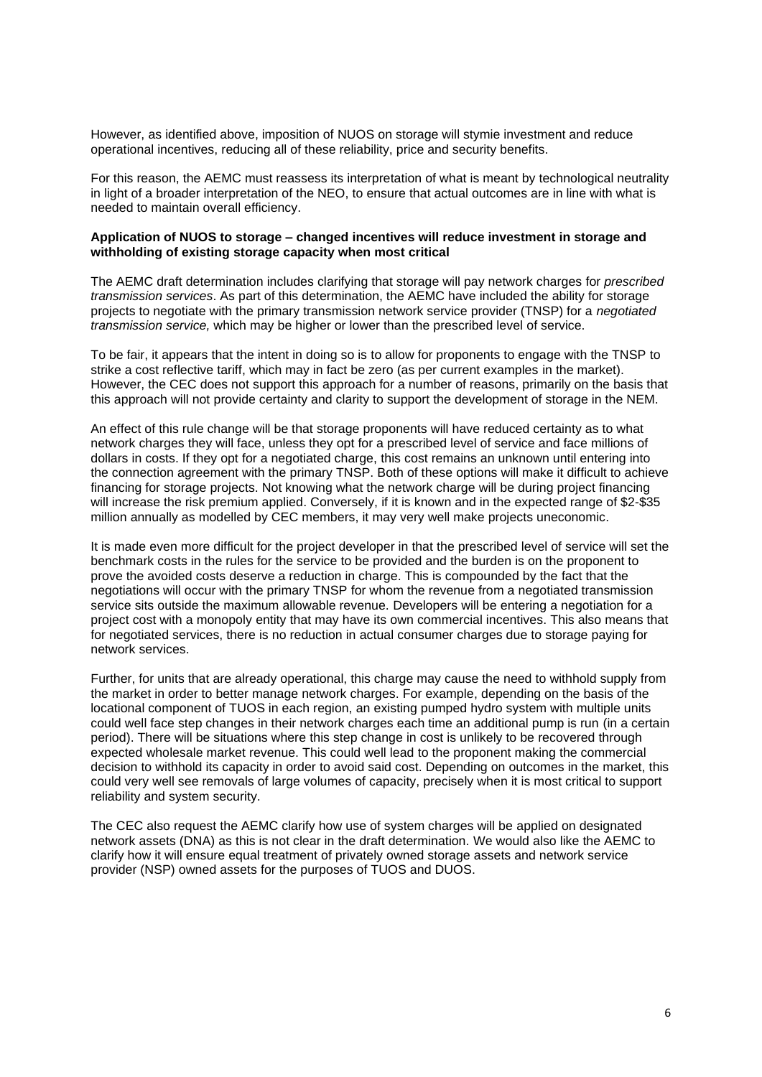However, as identified above, imposition of NUOS on storage will stymie investment and reduce operational incentives, reducing all of these reliability, price and security benefits.

For this reason, the AEMC must reassess its interpretation of what is meant by technological neutrality in light of a broader interpretation of the NEO, to ensure that actual outcomes are in line with what is needed to maintain overall efficiency.

## **Application of NUOS to storage – changed incentives will reduce investment in storage and withholding of existing storage capacity when most critical**

The AEMC draft determination includes clarifying that storage will pay network charges for *prescribed transmission services*. As part of this determination, the AEMC have included the ability for storage projects to negotiate with the primary transmission network service provider (TNSP) for a *negotiated transmission service,* which may be higher or lower than the prescribed level of service.

To be fair, it appears that the intent in doing so is to allow for proponents to engage with the TNSP to strike a cost reflective tariff, which may in fact be zero (as per current examples in the market). However, the CEC does not support this approach for a number of reasons, primarily on the basis that this approach will not provide certainty and clarity to support the development of storage in the NEM.

An effect of this rule change will be that storage proponents will have reduced certainty as to what network charges they will face, unless they opt for a prescribed level of service and face millions of dollars in costs. If they opt for a negotiated charge, this cost remains an unknown until entering into the connection agreement with the primary TNSP. Both of these options will make it difficult to achieve financing for storage projects. Not knowing what the network charge will be during project financing will increase the risk premium applied. Conversely, if it is known and in the expected range of \$2-\$35 million annually as modelled by CEC members, it may very well make projects uneconomic.

It is made even more difficult for the project developer in that the prescribed level of service will set the benchmark costs in the rules for the service to be provided and the burden is on the proponent to prove the avoided costs deserve a reduction in charge. This is compounded by the fact that the negotiations will occur with the primary TNSP for whom the revenue from a negotiated transmission service sits outside the maximum allowable revenue. Developers will be entering a negotiation for a project cost with a monopoly entity that may have its own commercial incentives. This also means that for negotiated services, there is no reduction in actual consumer charges due to storage paying for network services.

Further, for units that are already operational, this charge may cause the need to withhold supply from the market in order to better manage network charges. For example, depending on the basis of the locational component of TUOS in each region, an existing pumped hydro system with multiple units could well face step changes in their network charges each time an additional pump is run (in a certain period). There will be situations where this step change in cost is unlikely to be recovered through expected wholesale market revenue. This could well lead to the proponent making the commercial decision to withhold its capacity in order to avoid said cost. Depending on outcomes in the market, this could very well see removals of large volumes of capacity, precisely when it is most critical to support reliability and system security.

The CEC also request the AEMC clarify how use of system charges will be applied on designated network assets (DNA) as this is not clear in the draft determination. We would also like the AEMC to clarify how it will ensure equal treatment of privately owned storage assets and network service provider (NSP) owned assets for the purposes of TUOS and DUOS.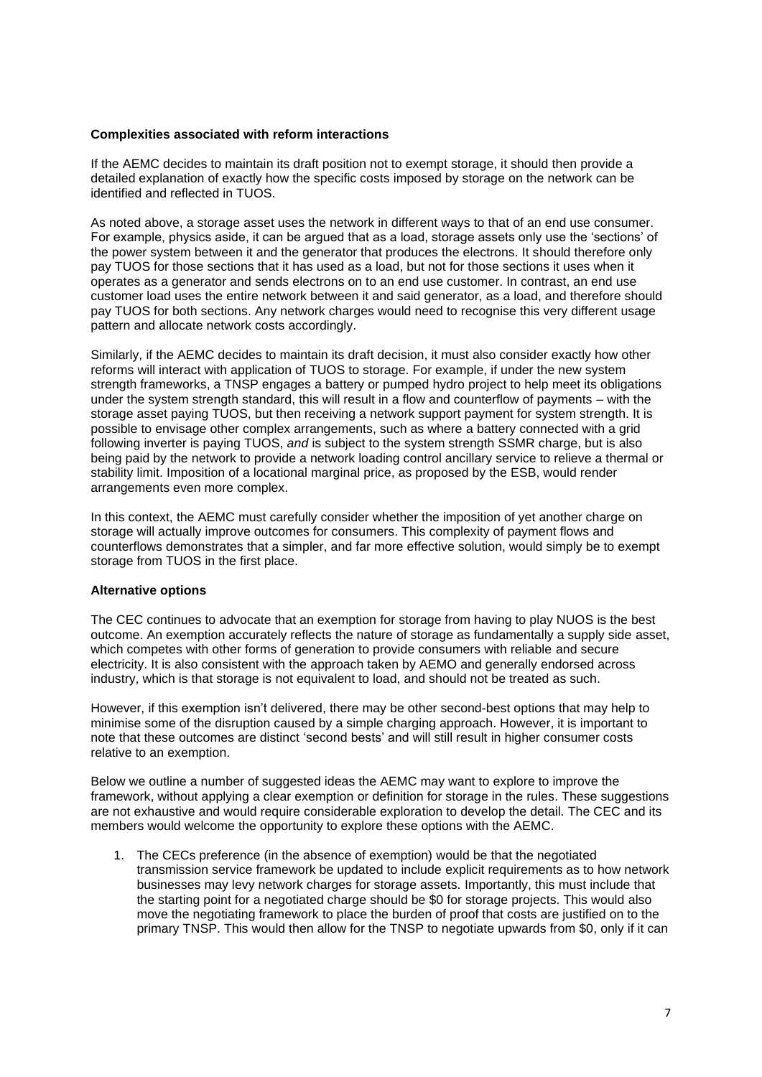## **Complexities associated with reform interactions**

If the AEMC decides to maintain its draft position not to exempt storage, it should then provide a detailed explanation of exactly how the specific costs imposed by storage on the network can be identified and reflected in TUOS.

As noted above, a storage asset uses the network in different ways to that of an end use consumer. For example, physics aside, it can be argued that as a load, storage assets only use the 'sections' of the power system between it and the generator that produces the electrons. It should therefore only pay TUOS for those sections that it has used as a load, but not for those sections it uses when it operates as a generator and sends electrons on to an end use customer. In contrast, an end use customer load uses the entire network between it and said generator, as a load, and therefore should pay TUOS for both sections. Any network charges would need to recognise this very different usage pattern and allocate network costs accordingly.

Similarly, if the AEMC decides to maintain its draft decision, it must also consider exactly how other reforms will interact with application of TUOS to storage. For example, if under the new system strength frameworks, a TNSP engages a battery or pumped hydro project to help meet its obligations under the system strength standard, this will result in a flow and counterflow of payments – with the storage asset paying TUOS, but then receiving a network support payment for system strength. It is possible to envisage other complex arrangements, such as where a battery connected with a grid following inverter is paying TUOS, *and* is subject to the system strength SSMR charge, but is also being paid by the network to provide a network loading control ancillary service to relieve a thermal or stability limit. Imposition of a locational marginal price, as proposed by the ESB, would render arrangements even more complex.

In this context, the AEMC must carefully consider whether the imposition of yet another charge on storage will actually improve outcomes for consumers. This complexity of payment flows and counterflows demonstrates that a simpler, and far more effective solution, would simply be to exempt storage from TUOS in the first place.

## **Alternative options**

The CEC continues to advocate that an exemption for storage from having to play NUOS is the best outcome. An exemption accurately reflects the nature of storage as fundamentally a supply side asset, which competes with other forms of generation to provide consumers with reliable and secure electricity. It is also consistent with the approach taken by AEMO and generally endorsed across industry, which is that storage is not equivalent to load, and should not be treated as such.

However, if this exemption isn't delivered, there may be other second-best options that may help to minimise some of the disruption caused by a simple charging approach. However, it is important to note that these outcomes are distinct 'second bests' and will still result in higher consumer costs relative to an exemption.

Below we outline a number of suggested ideas the AEMC may want to explore to improve the framework, without applying a clear exemption or definition for storage in the rules. These suggestions are not exhaustive and would require considerable exploration to develop the detail. The CEC and its members would welcome the opportunity to explore these options with the AEMC.

1. The CECs preference (in the absence of exemption) would be that the negotiated transmission service framework be updated to include explicit requirements as to how network businesses may levy network charges for storage assets. Importantly, this must include that the starting point for a negotiated charge should be \$0 for storage projects. This would also move the negotiating framework to place the burden of proof that costs are justified on to the primary TNSP. This would then allow for the TNSP to negotiate upwards from \$0, only if it can